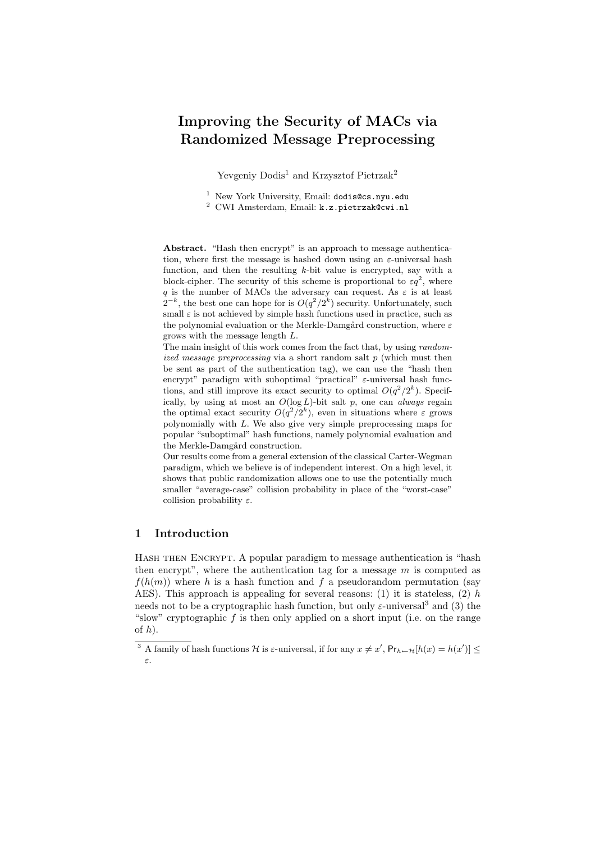# Improving the Security of MACs via Randomized Message Preprocessing

Yevgeniy Dodis<sup>1</sup> and Krzysztof Pietrzak<sup>2</sup>

<sup>1</sup> New York University, Email: dodis@cs.nyu.edu

<sup>2</sup> CWI Amsterdam, Email: k.z.pietrzak@cwi.nl

Abstract. "Hash then encrypt" is an approach to message authentication, where first the message is hashed down using an  $\varepsilon$ -universal hash function, and then the resulting  $k$ -bit value is encrypted, say with a block-cipher. The security of this scheme is proportional to  $\varepsilon q^2$ , where q is the number of MACs the adversary can request. As  $\varepsilon$  is at least  $2^{-k}$ , the best one can hope for is  $O(q^2/2^k)$  security. Unfortunately, such small  $\varepsilon$  is not achieved by simple hash functions used in practice, such as the polynomial evaluation or the Merkle-Damgård construction, where  $\varepsilon$ grows with the message length L.

The main insight of this work comes from the fact that, by using randomized message preprocessing via a short random salt  $p$  (which must then be sent as part of the authentication tag), we can use the "hash then encrypt" paradigm with suboptimal "practical"  $\varepsilon$ -universal hash functions, and still improve its exact security to optimal  $O(q^2/2^k)$ . Specifically, by using at most an  $O(\log L)$ -bit salt p, one can always regain the optimal exact security  $O(q^2/2^k)$ , even in situations where  $\varepsilon$  grows polynomially with L. We also give very simple preprocessing maps for popular "suboptimal" hash functions, namely polynomial evaluation and the Merkle-Damgård construction.

Our results come from a general extension of the classical Carter-Wegman paradigm, which we believe is of independent interest. On a high level, it shows that public randomization allows one to use the potentially much smaller "average-case" collision probability in place of the "worst-case" collision probability  $\varepsilon$ .

### 1 Introduction

HASH THEN ENCRYPT. A popular paradigm to message authentication is "hash" then encrypt", where the authentication tag for a message  $m$  is computed as  $f(h(m))$  where h is a hash function and f a pseudorandom permutation (say AES). This approach is appealing for several reasons: (1) it is stateless, (2)  $h$ needs not to be a cryptographic hash function, but only  $\varepsilon$ -universal<sup>3</sup> and (3) the "slow" cryptographic  $f$  is then only applied on a short input (i.e. on the range of  $h$ ).

<sup>&</sup>lt;sup>3</sup> A family of hash functions H is  $\varepsilon$ -universal, if for any  $x \neq x'$ ,  $Pr_{h \leftarrow H}[h(x) = h(x')] \le$ ε.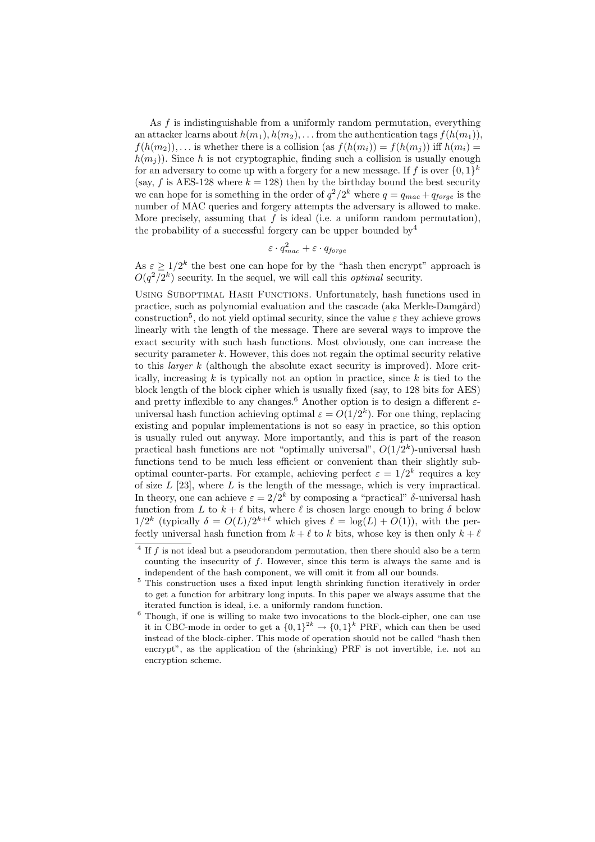As  $f$  is indistinguishable from a uniformly random permutation, everything an attacker learns about  $h(m_1), h(m_2), \ldots$  from the authentication tags  $f(h(m_1)),$  $f(h(m_2)), \ldots$  is whether there is a collision (as  $f(h(m_i)) = f(h(m_i))$  iff  $h(m_i) =$  $h(m_i)$ ). Since h is not cryptographic, finding such a collision is usually enough for an adversary to come up with a forgery for a new message. If f is over  $\{0,1\}^k$ (say, f is AES-128 where  $k = 128$ ) then by the birthday bound the best security we can hope for is something in the order of  $q^2/2^k$  where  $q = q_{mac} + q_{forge}$  is the number of MAC queries and forgery attempts the adversary is allowed to make. More precisely, assuming that  $f$  is ideal (i.e. a uniform random permutation), the probability of a successful forgery can be upper bounded by  $4$ 

$$
\varepsilon \cdot q_{mac}^2 + \varepsilon \cdot q_{forge}
$$

As  $\varepsilon \geq 1/2^k$  the best one can hope for by the "hash then encrypt" approach is  $O(q^2/2^k)$  security. In the sequel, we will call this *optimal* security.

Using Suboptimal Hash Functions. Unfortunately, hash functions used in practice, such as polynomial evaluation and the cascade (aka Merkle-Damgård) construction<sup>5</sup>, do not yield optimal security, since the value  $\varepsilon$  they achieve grows linearly with the length of the message. There are several ways to improve the exact security with such hash functions. Most obviously, one can increase the security parameter  $k$ . However, this does not regain the optimal security relative to this *larger*  $k$  (although the absolute exact security is improved). More critically, increasing  $k$  is typically not an option in practice, since  $k$  is tied to the block length of the block cipher which is usually fixed (say, to 128 bits for AES) and pretty inflexible to any changes.<sup>6</sup> Another option is to design a different  $\varepsilon$ universal hash function achieving optimal  $\varepsilon = O(1/2^k)$ . For one thing, replacing existing and popular implementations is not so easy in practice, so this option is usually ruled out anyway. More importantly, and this is part of the reason practical hash functions are not "optimally universal",  $O(1/2<sup>k</sup>)$ -universal hash functions tend to be much less efficient or convenient than their slightly suboptimal counter-parts. For example, achieving perfect  $\varepsilon = 1/2^k$  requires a key of size  $L$  [23], where  $L$  is the length of the message, which is very impractical. In theory, one can achieve  $\varepsilon = 2/2^k$  by composing a "practical" δ-universal hash function from L to  $k + \ell$  bits, where  $\ell$  is chosen large enough to bring  $\delta$  below  $1/2^k$  (typically  $\delta = O(L)/2^{k+\ell}$  which gives  $\ell = \log(L) + O(1)$ ), with the perfectly universal hash function from  $k + \ell$  to k bits, whose key is then only  $k + \ell$ 

 $4$  If f is not ideal but a pseudorandom permutation, then there should also be a term counting the insecurity of f. However, since this term is always the same and is independent of the hash component, we will omit it from all our bounds.

<sup>5</sup> This construction uses a fixed input length shrinking function iteratively in order to get a function for arbitrary long inputs. In this paper we always assume that the iterated function is ideal, i.e. a uniformly random function.

 $6$  Though, if one is willing to make two invocations to the block-cipher, one can use it in CBC-mode in order to get a  $\{0,1\}^{2k} \to \{0,1\}^k$  PRF, which can then be used instead of the block-cipher. This mode of operation should not be called "hash then encrypt", as the application of the (shrinking) PRF is not invertible, i.e. not an encryption scheme.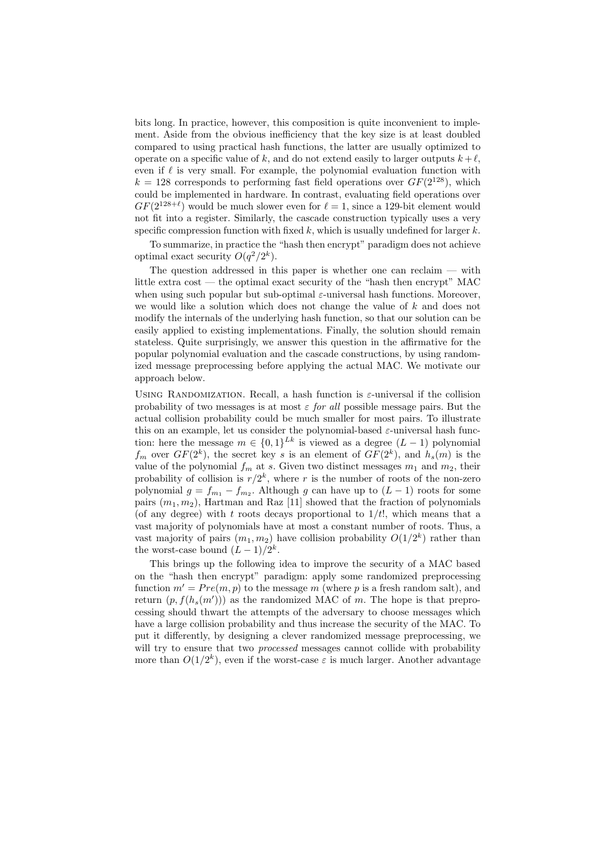bits long. In practice, however, this composition is quite inconvenient to implement. Aside from the obvious inefficiency that the key size is at least doubled compared to using practical hash functions, the latter are usually optimized to operate on a specific value of k, and do not extend easily to larger outputs  $k + \ell$ , even if  $\ell$  is very small. For example, the polynomial evaluation function with  $k = 128$  corresponds to performing fast field operations over  $GF(2^{128})$ , which could be implemented in hardware. In contrast, evaluating field operations over  $GF(2^{128+\ell})$  would be much slower even for  $\ell = 1$ , since a 129-bit element would not fit into a register. Similarly, the cascade construction typically uses a very specific compression function with fixed  $k$ , which is usually undefined for larger  $k$ .

To summarize, in practice the "hash then encrypt" paradigm does not achieve optimal exact security  $O(q^2/2^k)$ .

The question addressed in this paper is whether one can reclaim  $-$  with little extra cost — the optimal exact security of the "hash then encrypt" MAC when using such popular but sub-optimal  $\varepsilon$ -universal hash functions. Moreover, we would like a solution which does not change the value of  $k$  and does not modify the internals of the underlying hash function, so that our solution can be easily applied to existing implementations. Finally, the solution should remain stateless. Quite surprisingly, we answer this question in the affirmative for the popular polynomial evaluation and the cascade constructions, by using randomized message preprocessing before applying the actual MAC. We motivate our approach below.

USING RANDOMIZATION. Recall, a hash function is  $\varepsilon$ -universal if the collision probability of two messages is at most  $\varepsilon$  for all possible message pairs. But the actual collision probability could be much smaller for most pairs. To illustrate this on an example, let us consider the polynomial-based  $\varepsilon$ -universal hash function: here the message  $m \in \{0,1\}^{Lk}$  is viewed as a degree  $(L-1)$  polynomial  $f_m$  over  $GF(2^k)$ , the secret key s is an element of  $GF(2^k)$ , and  $h_s(m)$  is the value of the polynomial  $f_m$  at s. Given two distinct messages  $m_1$  and  $m_2$ , their probability of collision is  $r/2^k$ , where r is the number of roots of the non-zero polynomial  $g = f_{m_1} - f_{m_2}$ . Although g can have up to  $(L-1)$  roots for some pairs  $(m_1, m_2)$ , Hartman and Raz [11] showed that the fraction of polynomials (of any degree) with t roots decays proportional to  $1/t!$ , which means that a vast majority of polynomials have at most a constant number of roots. Thus, a vast majority of pairs  $(m_1, m_2)$  have collision probability  $O(1/2^k)$  rather than the worst-case bound  $(L-1)/2^k$ .

This brings up the following idea to improve the security of a MAC based on the "hash then encrypt" paradigm: apply some randomized preprocessing function  $m' = Pre(m, p)$  to the message m (where p is a fresh random salt), and return  $(p, f(h_s(m')))$  as the randomized MAC of m. The hope is that preprocessing should thwart the attempts of the adversary to choose messages which have a large collision probability and thus increase the security of the MAC. To put it differently, by designing a clever randomized message preprocessing, we will try to ensure that two *processed* messages cannot collide with probability more than  $O(1/2^k)$ , even if the worst-case  $\varepsilon$  is much larger. Another advantage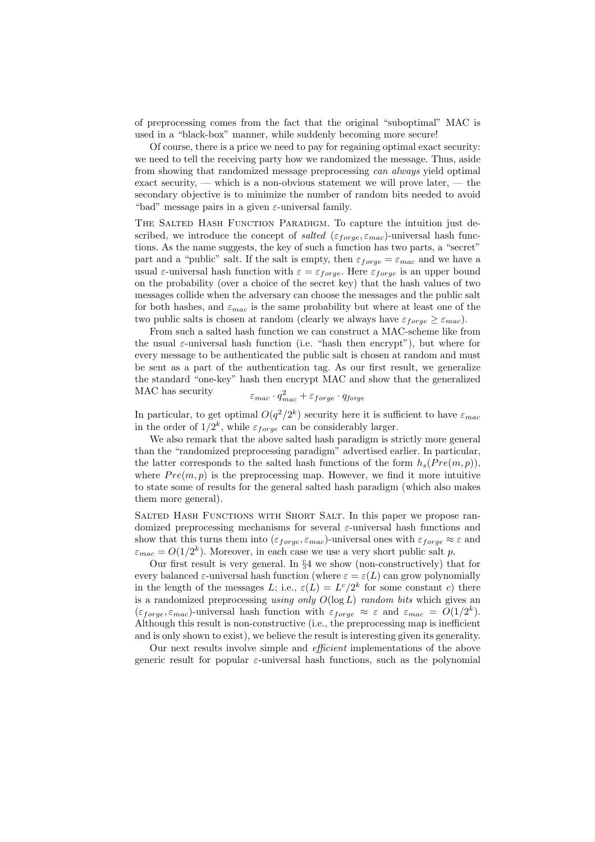of preprocessing comes from the fact that the original "suboptimal" MAC is used in a "black-box" manner, while suddenly becoming more secure!

Of course, there is a price we need to pay for regaining optimal exact security: we need to tell the receiving party how we randomized the message. Thus, aside from showing that randomized message preprocessing can always yield optimal exact security, — which is a non-obvious statement we will prove later, — the secondary objective is to minimize the number of random bits needed to avoid "bad" message pairs in a given  $\varepsilon$ -universal family.

THE SALTED HASH FUNCTION PARADIGM. To capture the intuition just described, we introduce the concept of salted ( $\varepsilon_{force}, \varepsilon_{mac}$ )-universal hash functions. As the name suggests, the key of such a function has two parts, a "secret" part and a "public" salt. If the salt is empty, then  $\varepsilon_{forge} = \varepsilon_{mac}$  and we have a usual  $\varepsilon$ -universal hash function with  $\varepsilon = \varepsilon_{forge}$ . Here  $\varepsilon_{forge}$  is an upper bound on the probability (over a choice of the secret key) that the hash values of two messages collide when the adversary can choose the messages and the public salt for both hashes, and  $\varepsilon_{mac}$  is the same probability but where at least one of the two public salts is chosen at random (clearly we always have  $\varepsilon_{\text{force}} \geq \varepsilon_{\text{mac}}$ ).

From such a salted hash function we can construct a MAC-scheme like from the usual  $\varepsilon$ -universal hash function (i.e. "hash then encrypt"), but where for every message to be authenticated the public salt is chosen at random and must be sent as a part of the authentication tag. As our first result, we generalize the standard "one-key" hash then encrypt MAC and show that the generalized MAC has security 2

$$
\varepsilon_{mac}\cdot q_{mac}^2 + \varepsilon_{forge}\cdot q_{forge}
$$

In particular, to get optimal  $O(q^2/2^k)$  security here it is sufficient to have  $\varepsilon_{mac}$ in the order of  $1/2^k$ , while  $\varepsilon_{forge}$  can be considerably larger.

We also remark that the above salted hash paradigm is strictly more general than the "randomized preprocessing paradigm" advertised earlier. In particular, the latter corresponds to the salted hash functions of the form  $h_s(Pre(m, p)).$ where  $Pre(m, p)$  is the preprocessing map. However, we find it more intuitive to state some of results for the general salted hash paradigm (which also makes them more general).

Salted Hash Functions with Short Salt. In this paper we propose randomized preprocessing mechanisms for several  $\varepsilon$ -universal hash functions and show that this turns them into  $(\varepsilon_{forge}, \varepsilon_{mac})$ -universal ones with  $\varepsilon_{forge} \approx \varepsilon$  and  $\varepsilon_{mac} = O(1/2^k)$ . Moreover, in each case we use a very short public salt p.

Our first result is very general. In §4 we show (non-constructively) that for every balanced  $\varepsilon$ -universal hash function (where  $\varepsilon = \varepsilon(L)$  can grow polynomially in the length of the messages L; i.e.,  $\varepsilon(L) = L^c/2^k$  for some constant c) there is a randomized preprocessing using only  $O(\log L)$  random bits which gives an  $(\varepsilon_{\text{forget}}, \varepsilon_{\text{mac}})$ -universal hash function with  $\varepsilon_{\text{forget}} \approx \varepsilon$  and  $\varepsilon_{\text{mac}} = O(1/2^k)$ . Although this result is non-constructive (i.e., the preprocessing map is inefficient and is only shown to exist), we believe the result is interesting given its generality.

Our next results involve simple and efficient implementations of the above generic result for popular  $\varepsilon$ -universal hash functions, such as the polynomial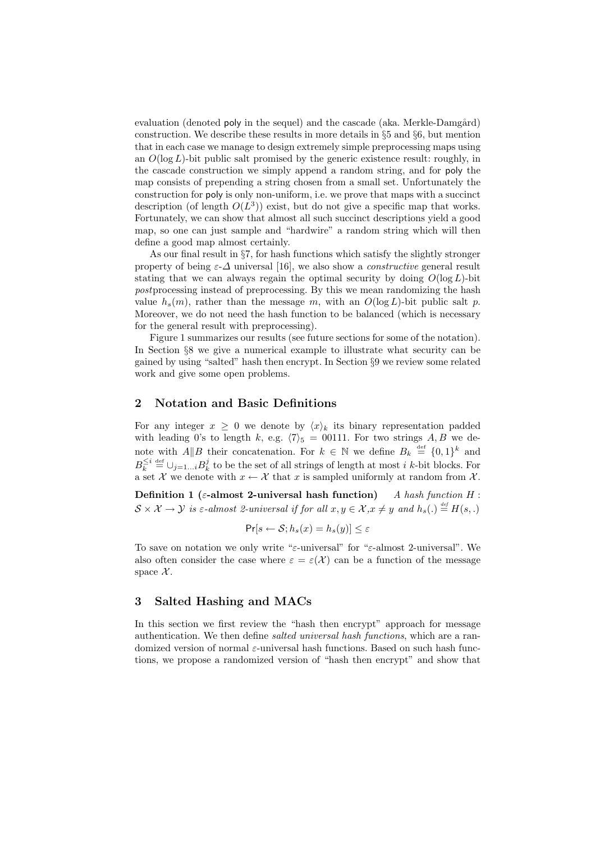evaluation (denoted poly in the sequel) and the cascade (aka. Merkle-Damgård) construction. We describe these results in more details in  $\S 5$  and  $\S 6$ , but mention that in each case we manage to design extremely simple preprocessing maps using an  $O(\log L)$ -bit public salt promised by the generic existence result: roughly, in the cascade construction we simply append a random string, and for poly the map consists of prepending a string chosen from a small set. Unfortunately the construction for poly is only non-uniform, i.e. we prove that maps with a succinct description (of length  $O(L^3)$ ) exist, but do not give a specific map that works. Fortunately, we can show that almost all such succinct descriptions yield a good map, so one can just sample and "hardwire" a random string which will then define a good map almost certainly.

As our final result in §7, for hash functions which satisfy the slightly stronger property of being  $\varepsilon-\Delta$  universal [16], we also show a *constructive* general result stating that we can always regain the optimal security by doing  $O(\log L)$ -bit postprocessing instead of preprocessing. By this we mean randomizing the hash value  $h_s(m)$ , rather than the message m, with an  $O(\log L)$ -bit public salt p. Moreover, we do not need the hash function to be balanced (which is necessary for the general result with preprocessing).

Figure 1 summarizes our results (see future sections for some of the notation). In Section §8 we give a numerical example to illustrate what security can be gained by using "salted" hash then encrypt. In Section §9 we review some related work and give some open problems.

#### 2 Notation and Basic Definitions

For any integer  $x \geq 0$  we denote by  $\langle x \rangle_k$  its binary representation padded with leading 0's to length k, e.g.  $\langle 7 \rangle_5 = 00111$ . For two strings A, B we denote with  $A||B$  their concatenation. For  $k \in \mathbb{N}$  we define  $B_k \stackrel{\text{def}}{=} \{0,1\}^k$  and  $B_k^{\leq i} \stackrel{\text{def}}{=} \bigcup_{j=1...i} B_k^j$  to be the set of all strings of length at most *i* k-bit blocks. For a set X we denote with  $x \leftarrow \mathcal{X}$  that x is sampled uniformly at random from X.

Definition 1 ( $\varepsilon$ -almost 2-universal hash function) A hash function H :  $S \times \mathcal{X} \to \mathcal{Y}$  is  $\varepsilon$ -almost 2-universal if for all  $x, y \in \mathcal{X}, x \neq y$  and  $h_s(.) \stackrel{\text{\tiny def}}{=} H(s,.)$ 

$$
\Pr[s \leftarrow \mathcal{S}; h_s(x) = h_s(y)] \le \varepsilon
$$

To save on notation we only write "ε-universal" for "ε-almost 2-universal". We also often consider the case where  $\varepsilon = \varepsilon(\mathcal{X})$  can be a function of the message space  $\mathcal{X}$ .

#### 3 Salted Hashing and MACs

In this section we first review the "hash then encrypt" approach for message authentication. We then define salted universal hash functions, which are a randomized version of normal  $\varepsilon$ -universal hash functions. Based on such hash functions, we propose a randomized version of "hash then encrypt" and show that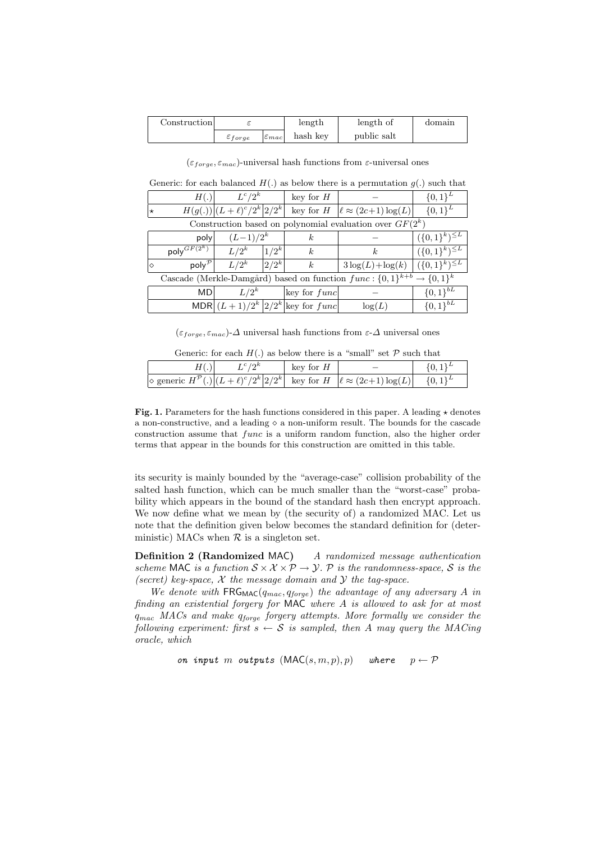| Construction |                       |                       | length   | length of   | domain |
|--------------|-----------------------|-----------------------|----------|-------------|--------|
|              | $\varepsilon_{forge}$ | $ \varepsilon_{mac} $ | hash key | public salt |        |

 $(\varepsilon_{force}, \varepsilon_{mac})$ -universal hash functions from  $\varepsilon$ -universal ones

|                                                                                                           | Generic: for each balanced $H(.)$ as below there is a permutation $g(.)$ such that |                                                                                           |
|-----------------------------------------------------------------------------------------------------------|------------------------------------------------------------------------------------|-------------------------------------------------------------------------------------------|
| $H(\lambda)$ $I^c/\Omega^k$ $\left  \begin{array}{cc} 1_{\text{row}} & \text{for } H \end{array} \right $ |                                                                                    | $\bigcap_{\alpha=1}^{\infty}$ $\bigcap_{\alpha=1}^{\infty}$ $\bigcap_{\alpha=1}^{\infty}$ |

| H(.)                                                                                   | $L^c/2^k$                       |           | key for $H$                                       |                                                | $\{0,1\}^{L}$          |
|----------------------------------------------------------------------------------------|---------------------------------|-----------|---------------------------------------------------|------------------------------------------------|------------------------|
| ★                                                                                      | $H(g(.)) (L+\ell)^c/2^k 2/2^k $ |           | key for $H$                                       | $ \ell \approx (2c+1) \log(L) $                | $\{0,1\}^{L}$          |
| Construction based on polynomial evaluation over $GF(2^k)$                             |                                 |           |                                                   |                                                |                        |
| poly                                                                                   | $(L-1)/2^k$                     |           | $\kappa$                                          |                                                | $({0,1}^k)^{\leq L}$   |
| poly $^{GF(2^k)}$                                                                      | $L/2^k$                         | $ 1/2^k $ | k.                                                | k <sub>i</sub>                                 | $(\{0,1\}^k)^{\leq L}$ |
| poly <sup>p</sup><br>$\Diamond$                                                        | $L/2^k$                         | $ 2/2^k $ | k                                                 | $3\log(L) + \log(k) \mid (\{0,1\}^k)^{\leq L}$ |                        |
| Cascade (Merkle-Damgård) based on function $func: \{0,1\}^{k+b} \rightarrow \{0,1\}^k$ |                                 |           |                                                   |                                                |                        |
| MDI                                                                                    | $L/2^k$                         |           | $\lvert \text{key} \rvert$ for $func \rvert$      |                                                | $\{0,1\}^{bL}$         |
|                                                                                        |                                 |           | MDR $\left  (L+1)/2^k \right  2/2^k$ key for func | log(L)                                         | $\{0,1\}^{bL}$         |

 $(\varepsilon_{\text{force}}, \varepsilon_{\text{mac}})$ - $\Delta$  universal hash functions from  $\varepsilon$ - $\Delta$  universal ones

Generic: for each  $H(.)$  as below there is a "small" set  $P$  such that

| $L^c/2^k$ | key for $H$ |                                                                                                                                       | $\{0,1\}^L$ |
|-----------|-------------|---------------------------------------------------------------------------------------------------------------------------------------|-------------|
|           |             | $\Diamond$ generic $H^{\mathcal{P}}(.) (L+\ell)^{c}/2^{k} 2/2^{k} $ key for $H   \ell \approx (2c+1)\log(L)   {\mathcal{P}}(0,1)^{L}$ |             |

Fig. 1. Parameters for the hash functions considered in this paper. A leading  $\star$  denotes a non-constructive, and a leading  $\diamond$  a non-uniform result. The bounds for the cascade construction assume that func is a uniform random function, also the higher order terms that appear in the bounds for this construction are omitted in this table.

its security is mainly bounded by the "average-case" collision probability of the salted hash function, which can be much smaller than the "worst-case" probability which appears in the bound of the standard hash then encrypt approach. We now define what we mean by (the security of) a randomized MAC. Let us note that the definition given below becomes the standard definition for (deterministic) MACs when  $\mathcal R$  is a singleton set.

Definition 2 (Randomized MAC) A randomized message authentication scheme MAC is a function  $S \times \mathcal{X} \times \mathcal{P} \rightarrow \mathcal{Y}$ . P is the randomness-space, S is the (secret) key-space,  $X$  the message domain and  $Y$  the tag-space.

We denote with  $FRG_{MAC}(q_{mac}, q_{forge})$  the advantage of any adversary A in finding an existential forgery for MAC where A is allowed to ask for at most  $q_{mac}$  MACs and make  $q_{forge}$  forgery attempts. More formally we consider the following experiment: first  $s \leftarrow S$  is sampled, then A may query the MACing oracle, which

on input m outputs  $(MAC(s, m, p), p)$  where  $p \leftarrow \mathcal{P}$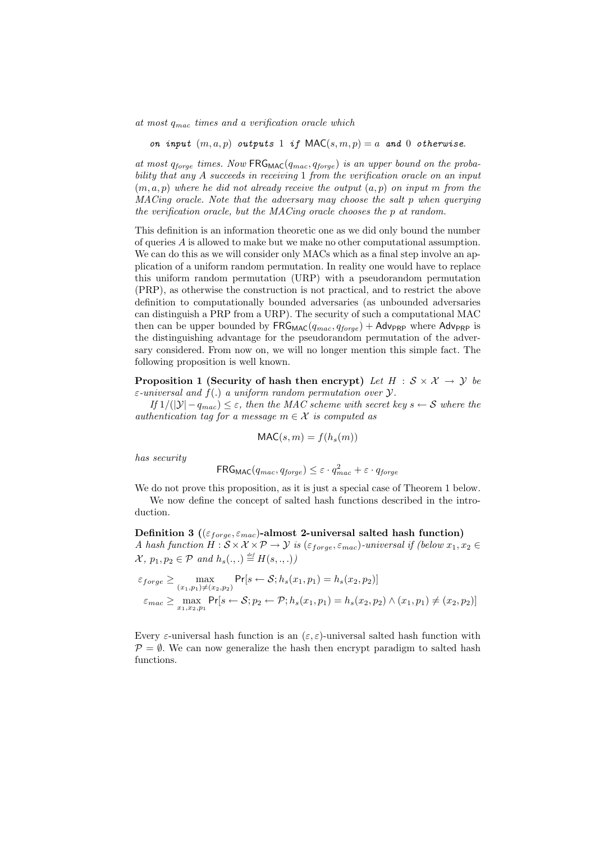at most  $q_{mac}$  times and a verification oracle which

on input  $(m, a, p)$  outputs 1 if  $MAC(s, m, p) = a$  and 0 otherwise.

at most  $q_{force}$  times. Now FRG<sub>MAC</sub>( $q_{mac}, q_{force}$ ) is an upper bound on the probability that any A succeeds in receiving 1 from the verification oracle on an input  $(m, a, p)$  where he did not already receive the output  $(a, p)$  on input m from the MACing oracle. Note that the adversary may choose the salt p when querying the verification oracle, but the MACing oracle chooses the p at random.

This definition is an information theoretic one as we did only bound the number of queries A is allowed to make but we make no other computational assumption. We can do this as we will consider only MACs which as a final step involve an application of a uniform random permutation. In reality one would have to replace this uniform random permutation (URP) with a pseudorandom permutation (PRP), as otherwise the construction is not practical, and to restrict the above definition to computationally bounded adversaries (as unbounded adversaries can distinguish a PRP from a URP). The security of such a computational MAC then can be upper bounded by  $FRG_{MAC}(q_{mac}, q_{forge}) + Adv_{PRP}$  where  $Adv_{PRP}$  is the distinguishing advantage for the pseudorandom permutation of the adversary considered. From now on, we will no longer mention this simple fact. The following proposition is well known.

Proposition 1 (Security of hash then encrypt) Let  $H : \mathcal{S} \times \mathcal{X} \rightarrow \mathcal{Y}$  be  $\varepsilon$ -universal and  $f(.)$  a uniform random permutation over  $\mathcal{Y}.$ 

If  $1/(|\mathcal{Y}| - q_{mac}) \leq \varepsilon$ , then the MAC scheme with secret key  $s \leftarrow S$  where the authentication tag for a message  $m \in \mathcal{X}$  is computed as

$$
\mathsf{MAC}(s, m) = f(h_s(m))
$$

has security

$$
\mathsf{FRG}_{\mathsf{MAC}}(q_{mac}, q_{forge}) \leq \varepsilon \cdot q_{mac}^2 + \varepsilon \cdot q_{forge}
$$

We do not prove this proposition, as it is just a special case of Theorem 1 below. We now define the concept of salted hash functions described in the introduction.

Definition 3 ( $(\varepsilon_{\mathit{forget}}, \varepsilon_{\mathit{mac}})$ -almost 2-universal salted hash function) A hash function  $H : \mathcal{S} \times \mathcal{X} \times \mathcal{P} \to \mathcal{Y}$  is  $(\varepsilon_{forge}, \varepsilon_{mac})$ -universal if (below  $x_1, x_2 \in$  $\mathcal{X}, p_1, p_2 \in \mathcal{P}$  and  $h_s(.,.) \stackrel{\text{\tiny def}}{=} H(s,.,.)$ 

$$
\varepsilon_{forge} \ge \max_{(x_1, p_1) \neq (x_2, p_2)} \Pr[s \leftarrow S; h_s(x_1, p_1) = h_s(x_2, p_2)]
$$
  

$$
\varepsilon_{mac} \ge \max_{x_1, x_2, p_1} \Pr[s \leftarrow S; p_2 \leftarrow P; h_s(x_1, p_1) = h_s(x_2, p_2) \land (x_1, p_1) \neq (x_2, p_2)]
$$

Every  $\varepsilon$ -universal hash function is an  $(\varepsilon, \varepsilon)$ -universal salted hash function with  $\mathcal{P} = \emptyset$ . We can now generalize the hash then encrypt paradigm to salted hash functions.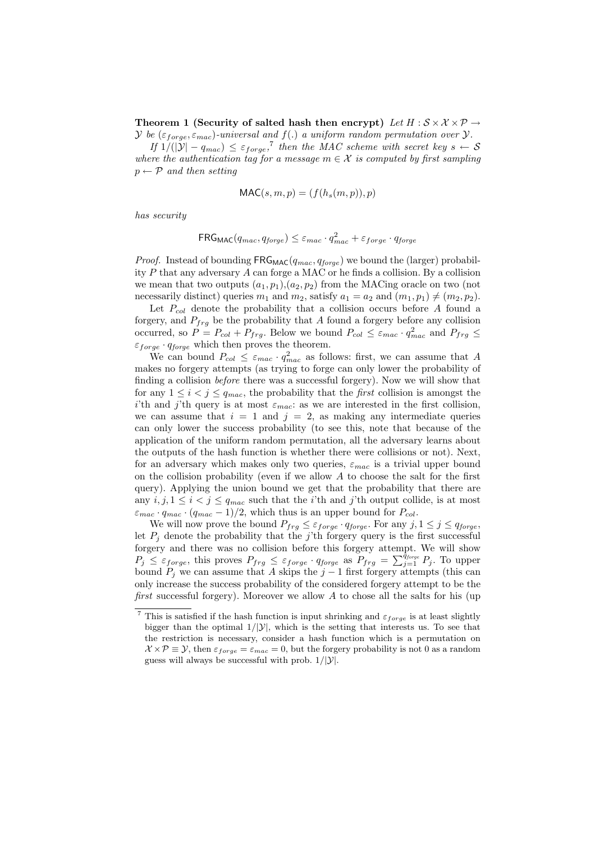Theorem 1 (Security of salted hash then encrypt) Let  $H : \mathcal{S} \times \mathcal{X} \times \mathcal{P} \rightarrow$  $\mathcal Y$  be ( $\varepsilon_{forge}, \varepsilon_{mac}$ )-universal and  $f(.)$  a uniform random permutation over  $\mathcal Y$ .

If  $1/(|\mathcal{Y}| - q_{mac}) \leq \varepsilon_{forge}$ ,<sup>7</sup> then the MAC scheme with secret key  $s \leftarrow S$ where the authentication tag for a message  $m \in \mathcal{X}$  is computed by first sampling  $p \leftarrow \mathcal{P}$  and then setting

$$
\mathsf{MAC}(s, m, p) = (f(h_s(m, p)), p)
$$

has security

$$
\mathsf{FRG}_{\mathsf{MAC}}(q_{mac},q_{forge}) \leq \varepsilon_{mac} \cdot q_{mac}^2 + \varepsilon_{forge} \cdot q_{forge}
$$

*Proof.* Instead of bounding  $FRG_{MAC}(q_{mac}, q_{forge})$  we bound the (larger) probability P that any adversary A can forge a MAC or he finds a collision. By a collision we mean that two outputs  $(a_1, p_1), (a_2, p_2)$  from the MACing oracle on two (not necessarily distinct) queries  $m_1$  and  $m_2$ , satisfy  $a_1 = a_2$  and  $(m_1, p_1) \neq (m_2, p_2)$ .

Let  $P_{col}$  denote the probability that a collision occurs before A found a forgery, and  $P_{frg}$  be the probability that A found a forgery before any collision occurred, so  $P = P_{col} + P_{frg}$ . Below we bound  $P_{col} \leq \varepsilon_{mac} \cdot q_{mac}^2$  and  $P_{frg} \leq$  $\varepsilon_{forge} \cdot q_{forge}$  which then proves the theorem.

We can bound  $P_{col} \leq \varepsilon_{mac} \cdot q_{mac}^2$  as follows: first, we can assume that A makes no forgery attempts (as trying to forge can only lower the probability of finding a collision before there was a successful forgery). Now we will show that for any  $1 \leq i \leq j \leq q_{mac}$ , the probability that the *first* collision is amongst the i'th and j'th query is at most  $\varepsilon_{mac}$ : as we are interested in the first collision, we can assume that  $i = 1$  and  $j = 2$ , as making any intermediate queries can only lower the success probability (to see this, note that because of the application of the uniform random permutation, all the adversary learns about the outputs of the hash function is whether there were collisions or not). Next, for an adversary which makes only two queries,  $\varepsilon_{mac}$  is a trivial upper bound on the collision probability (even if we allow  $A$  to choose the salt for the first query). Applying the union bound we get that the probability that there are any  $i, j, 1 \leq i < j \leq q_{mac}$  such that the *i*'th and *j*'th output collide, is at most  $\varepsilon_{mac} \cdot q_{mac} \cdot (q_{mac} - 1)/2$ , which thus is an upper bound for  $P_{col}$ .

We will now prove the bound  $P_{frg} \leq \varepsilon_{forge} \cdot q_{forge}$ . For any  $j, 1 \leq j \leq q_{forge}$ , let  $P_i$  denote the probability that the j'th forgery query is the first successful forgery and there was no collision before this forgery attempt. We will show torgery and there was no contribution before this longery attempt. We will show<br>  $P_j \leq \varepsilon_{forge}$ , this proves  $P_{frg} \leq \varepsilon_{forge} \cdot q_{forge}$  as  $P_{frg} = \sum_{j=1}^{q_{f \text{neg}}} P_j$ . To upper bound  $P_j$  we can assume that A skips the  $j-1$  first forgery attempts (this can only increase the success probability of the considered forgery attempt to be the first successful forgery). Moreover we allow  $A$  to chose all the salts for his (up

<sup>&</sup>lt;sup>7</sup> This is satisfied if the hash function is input shrinking and  $\varepsilon_{forge}$  is at least slightly bigger than the optimal  $1/|\mathcal{Y}|$ , which is the setting that interests us. To see that the restriction is necessary, consider a hash function which is a permutation on  $X \times \mathcal{P} \equiv \mathcal{Y}$ , then  $\varepsilon_{forge} = \varepsilon_{mac} = 0$ , but the forgery probability is not 0 as a random guess will always be successful with prob.  $1/|\mathcal{Y}|$ .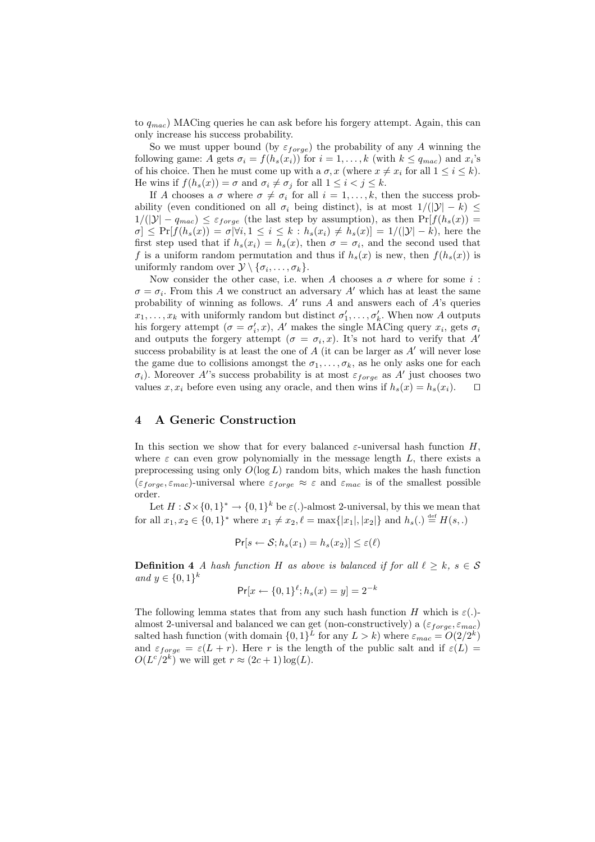to  $q_{mac}$ ) MACing queries he can ask before his forgery attempt. Again, this can only increase his success probability.

So we must upper bound (by  $\varepsilon_{forge}$ ) the probability of any A winning the following game: A gets  $\sigma_i = f(h_s(x_i))$  for  $i = 1, ..., k$  (with  $k \le q_{mac}$ ) and  $x_i$ 's of his choice. Then he must come up with a  $\sigma$ , x (where  $x \neq x_i$  for all  $1 \leq i \leq k$ ). He wins if  $f(h_s(x)) = \sigma$  and  $\sigma_i \neq \sigma_j$  for all  $1 \leq i < j \leq k$ .

If A chooses a  $\sigma$  where  $\sigma \neq \sigma_i$  for all  $i = 1, \ldots, k$ , then the success probability (even conditioned on all  $\sigma_i$  being distinct), is at most  $1/(|\mathcal{Y}| - k) \le$  $1/(|\mathcal{Y}| - q_{mac}) \leq \varepsilon_{forge}$  (the last step by assumption), as then  $Pr[f(h_s(x)) =$  $\sigma$   $\leq$  Pr[ $f(h_s(x)) = \sigma |\forall i, 1 \leq i \leq k : h_s(x_i) \neq h_s(x)$ ] = 1/(| $\mathcal{Y}$ | – k), here the first step used that if  $h_s(x_i) = h_s(x)$ , then  $\sigma = \sigma_i$ , and the second used that f is a uniform random permutation and thus if  $h_s(x)$  is new, then  $f(h_s(x))$  is uniformly random over  $\mathcal{Y} \setminus {\sigma_i, \ldots, \sigma_k}.$ 

Now consider the other case, i.e. when A chooses a  $\sigma$  where for some i:  $\sigma = \sigma_i$ . From this A we construct an adversary A' which has at least the same probability of winning as follows.  $A'$  runs  $A$  and answers each of  $A$ 's queries  $x_1, \ldots, x_k$  with uniformly random but distinct  $\sigma'_1, \ldots, \sigma'_k$ . When now A outputs his forgery attempt  $(\sigma = \sigma'_i, x)$ , A' makes the single MACing query  $x_i$ , gets  $\sigma_i$ and outputs the forgery attempt  $(\sigma = \sigma_i, x)$ . It's not hard to verify that A' success probability is at least the one of  $A$  (it can be larger as  $A'$  will never lose the game due to collisions amongst the  $\sigma_1, \ldots, \sigma_k$ , as he only asks one for each  $\sigma_i$ ). Moreover A''s success probability is at most  $\varepsilon_{\text{forget}}$  as A' just chooses two values  $x, x_i$  before even using any oracle, and then wins if  $h_s(x) = h_s(x_i)$ .  $\Box$ 

### 4 A Generic Construction

In this section we show that for every balanced  $\varepsilon$ -universal hash function H, where  $\varepsilon$  can even grow polynomially in the message length  $L$ , there exists a preprocessing using only  $O(\log L)$  random bits, which makes the hash function  $(\varepsilon_{forge}, \varepsilon_{mac})$ -universal where  $\varepsilon_{forge} \approx \varepsilon$  and  $\varepsilon_{mac}$  is of the smallest possible order.

Let  $H : \mathcal{S} \times \{0,1\}^* \to \{0,1\}^k$  be  $\varepsilon(.)$ -almost 2-universal, by this we mean that for all  $x_1, x_2 \in \{0, 1\}^*$  where  $x_1 \neq x_2, \ell = \max\{|x_1|, |x_2|\}$  and  $h_s(.) \stackrel{\text{def}}{=} H(s,.)$ 

$$
\Pr[s \leftarrow \mathcal{S}; h_s(x_1) = h_s(x_2)] \le \varepsilon(\ell)
$$

**Definition 4** A hash function H as above is balanced if for all  $\ell \geq k$ ,  $s \in S$ and  $y \in \{0, 1\}^k$ 

$$
Pr[x \leftarrow \{0, 1\}^{\ell}; h_s(x) = y] = 2^{-k}
$$

The following lemma states that from any such hash function H which is  $\varepsilon(.)$ almost 2-universal and balanced we can get (non-constructively) a  $(\varepsilon_{forge}, \varepsilon_{mac})$ salted hash function (with domain  $\{0,1\}^L$  for any  $L > k$ ) where  $\varepsilon_{mac} = O(2/2^k)$ and  $\varepsilon_{forge} = \varepsilon (L + r)$ . Here r is the length of the public salt and if  $\varepsilon (L)$  =  $O(L^c/2^k)$  we will get  $r \approx (2c+1)\log(L)$ .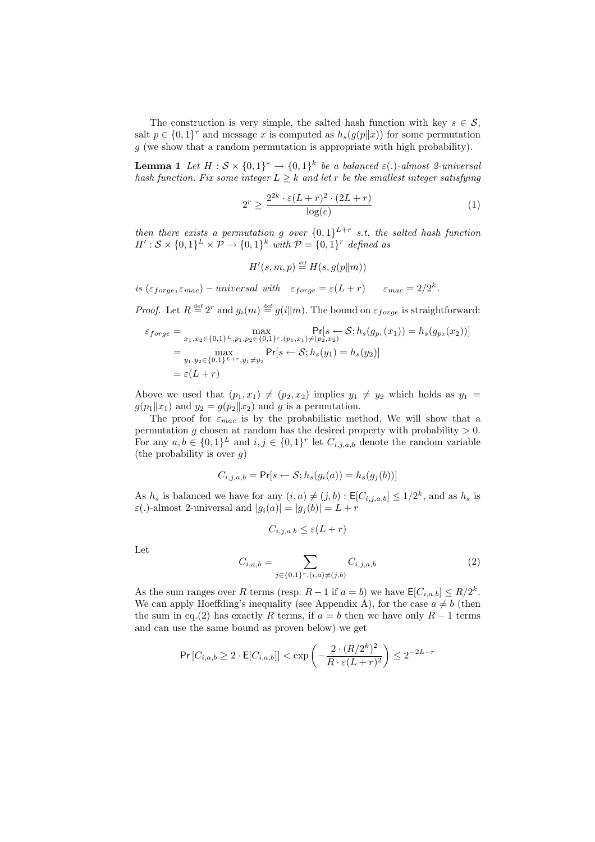The construction is very simple, the salted hash function with key  $s \in \mathcal{S}$ , salt  $p \in \{0,1\}^r$  and message x is computed as  $h_s(g(p||x))$  for some permutation  $g$  (we show that a random permutation is appropriate with high probability).

**Lemma 1** Let  $H : \mathcal{S} \times \{0,1\}^* \to \{0,1\}^k$  be a balanced  $\varepsilon(.)$ -almost 2-universal hash function. Fix some integer  $L \geq k$  and let r be the smallest integer satisfying

$$
2^r \ge \frac{2^{2k} \cdot \varepsilon (L+r)^2 \cdot (2L+r)}{\log(e)}\tag{1}
$$

then there exists a permutation g over  $\{0,1\}^{L+r}$  s.t. the salted hash function  $H': \mathcal{S} \times \{0,1\}^L \times \mathcal{P} \rightarrow \{0,1\}^k$  with  $\mathcal{P} = \{0,1\}^r$  defined as

 $H'(s,m,p) \stackrel{\text{\tiny def}}{=} H(s,g(p||m))$ 

is  $(\varepsilon_{forget}, \varepsilon_{mac})$  – universal with  $\varepsilon_{forget} = \varepsilon(L+r)$   $\varepsilon_{mac} = 2/2^k$ .

*Proof.* Let  $R \stackrel{\text{def}}{=} 2^r$  and  $g_i(m) \stackrel{\text{def}}{=} g(i||m)$ . The bound on  $\varepsilon_{forge}$  is straightforward:

$$
\varepsilon_{forge} = \max_{x_1, x_2 \in \{0, 1\}^L, p_1, p_2 \in \{0, 1\}^r, (p_1, x_1) \neq (p_2, x_2)} \Pr[s \leftarrow S; h_s(g_{p_1}(x_1)) = h_s(g_{p_2}(x_2))]
$$
  
= 
$$
\max_{y_1, y_2 \in \{0, 1\}^{L+r}, y_1 \neq y_2} \Pr[s \leftarrow S; h_s(y_1) = h_s(y_2)]
$$
  
= 
$$
\varepsilon(L+r)
$$

Above we used that  $(p_1, x_1) \neq (p_2, x_2)$  implies  $y_1 \neq y_2$  which holds as  $y_1 =$  $g(p_1||x_1)$  and  $y_2 = g(p_2||x_2)$  and g is a permutation.

The proof for  $\varepsilon_{mac}$  is by the probabilistic method. We will show that a permutation g chosen at random has the desired property with probability  $> 0$ . For any  $a, b \in \{0,1\}^L$  and  $i, j \in \{0,1\}^r$  let  $C_{i,j,a,b}$  denote the random variable (the probability is over  $q$ )

$$
C_{i,j,a,b} = \Pr[s \leftarrow \mathcal{S}; h_s(g_i(a)) = h_s(g_j(b))]
$$

As  $h_s$  is balanced we have for any  $(i, a) \neq (j, b)$ :  $\mathsf{E}[C_{i,j,a,b}] \leq 1/2^k$ , and as  $h_s$  is  $\varepsilon(.)$ -almost 2-universal and  $|g_i(a)| = |g_j(b)| = L + r$ 

$$
C_{i,j,a,b} \le \varepsilon (L+r)
$$

Let

$$
C_{i,a,b} = \sum_{j \in \{0,1\}^r, (i,a) \neq (j,b)} C_{i,j,a,b}
$$
 (2)

As the sum ranges over R terms (resp.  $R-1$  if  $a=b$ ) we have  $\mathsf{E}[C_{i,a,b}] \leq R/2^k$ . We can apply Hoeffding's inequality (see Appendix A), for the case  $a \neq b$  (then the sum in eq.(2) has exactly R terms, if  $a = b$  then we have only  $R - 1$  terms and can use the same bound as proven below) we get

$$
\Pr\left[C_{i,a,b} \ge 2 \cdot \mathsf{E}[C_{i,a,b}]\right] < \exp\left(-\frac{2 \cdot (R/2^k)^2}{R \cdot \varepsilon (L+r)^2}\right) \le 2^{-2L-r}
$$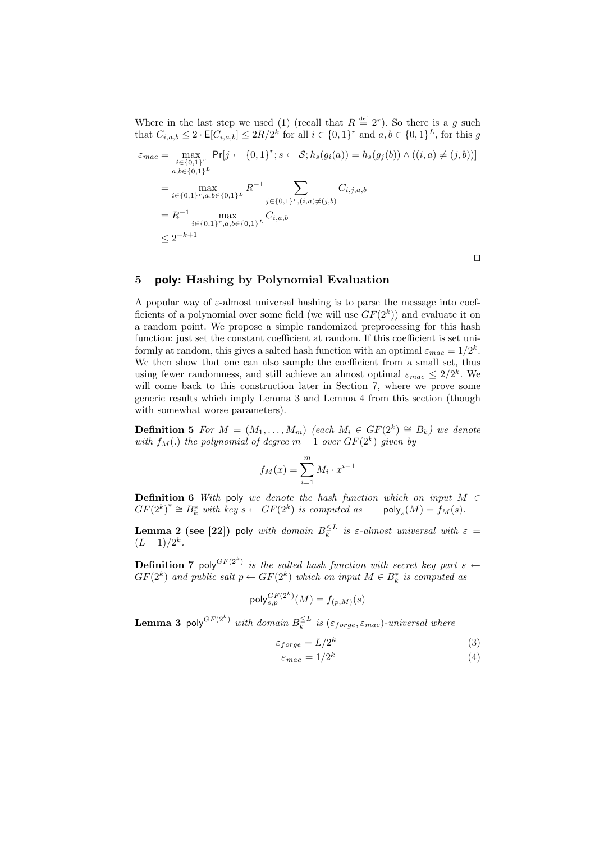Where in the last step we used (1) (recall that  $R \stackrel{\text{def}}{=} 2^r$ ). So there is a g such that  $C_{i,a,b} \leq 2 \cdot \mathsf{E}[C_{i,a,b}] \leq 2R/2^k$  for all  $i \in \{0,1\}^r$  and  $a,b \in \{0,1\}^L$ , for this g

$$
\varepsilon_{mac} = \max_{\substack{i \in \{0,1\}^r \\ a,b \in \{0,1\}^L}} \Pr[j \leftarrow \{0,1\}^r; s \leftarrow \mathcal{S}; h_s(g_i(a)) = h_s(g_j(b)) \land ((i, a) \neq (j, b))]
$$
\n
$$
= \max_{\substack{i \in \{0,1\}^r, a,b \in \{0,1\}^L}} R^{-1} \sum_{\substack{j \in \{0,1\}^r, (i,a) \neq (j,b) \\ b \in \{0,1\}^r, (i,a) \neq (j,b)}} C_{i,j,a,b}
$$
\n
$$
= R^{-1} \max_{\substack{i \in \{0,1\}^r, a,b \in \{0,1\}^L}} C_{i,a,b}
$$
\n
$$
\leq 2^{-k+1}
$$

 $\Box$ 

# 5 poly: Hashing by Polynomial Evaluation

A popular way of  $\varepsilon$ -almost universal hashing is to parse the message into coefficients of a polynomial over some field (we will use  $GF(2<sup>k</sup>)$ ) and evaluate it on a random point. We propose a simple randomized preprocessing for this hash function: just set the constant coefficient at random. If this coefficient is set uniformly at random, this gives a salted hash function with an optimal  $\varepsilon_{mac} = 1/2^k$ . We then show that one can also sample the coefficient from a small set, thus using fewer randomness, and still achieve an almost optimal  $\varepsilon_{mac} \leq 2/2^k$ . We will come back to this construction later in Section 7, where we prove some generic results which imply Lemma 3 and Lemma 4 from this section (though with somewhat worse parameters).

**Definition 5** For  $M = (M_1, \ldots, M_m)$  (each  $M_i \in GF(2^k) \cong B_k$ ) we denote with  $f_M(.)$  the polynomial of degree  $m-1$  over  $GF(2^k)$  given by

$$
f_M(x) = \sum_{i=1}^m M_i \cdot x^{i-1}
$$

**Definition 6** With poly we denote the hash function which on input  $M \in$  $GF(2^k)^* \cong B_k^*$  with key  $s \leftarrow GF(2^k)$  is computed as poly<sub>s</sub>  $\mathsf{poly}_s(M) = f_M(s).$ 

**Lemma 2 (see [22])** poly with domain  $B_k^{\leq L}$  is  $\varepsilon$ -almost universal with  $\varepsilon$  =  $(L-1)/2^k$ .

**Definition 7** poly<sup> $GF(2^k)$ </sup> is the salted hash function with secret key part s  $\leftarrow$  $GF(2^k)$  and public salt  $p \leftarrow GF(2^k)$  which on input  $M \in B_k^*$  is computed as

$$
\mathsf{poly}^{GF(2^k)}_{s,p}(M) = f_{(p,M)}(s)
$$

**Lemma 3** poly<sup>GF(2k)</sup> with domain  $B_k^{\leq L}$  is ( $\varepsilon_{forge}, \varepsilon_{mac}$ )-universal where

$$
\varepsilon_{forge} = L/2^k \tag{3}
$$

$$
\varepsilon_{mac} = 1/2^k \tag{4}
$$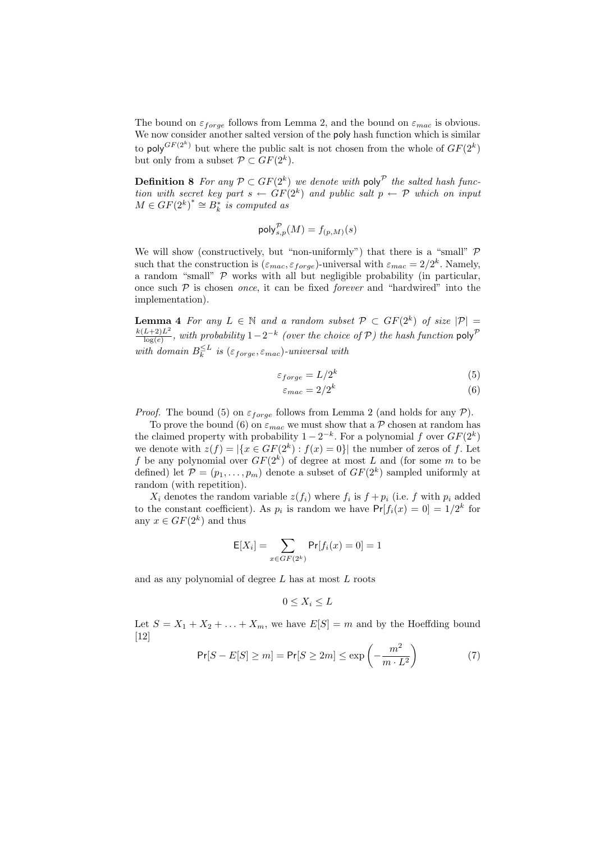The bound on  $\varepsilon_{forge}$  follows from Lemma 2, and the bound on  $\varepsilon_{mac}$  is obvious. We now consider another salted version of the poly hash function which is similar to poly  $G_F(2^k)$  but where the public salt is not chosen from the whole of  $GF(2^k)$ but only from a subset  $\mathcal{P} \subset GF(2^k)$ .

**Definition 8** For any  $\mathcal{P} \subset GF(2^k)$  we denote with poly<sup> $\mathcal{P}$ </sup> the salted hash function with secret key part  $s \leftarrow GF(2^k)$  and public salt  $p \leftarrow \mathcal{P}$  which on input  $M \in GF(2^k)^* \cong B_k^*$  is computed as

$$
\mathsf{poly}_{s,p}^{\mathcal{P}}(M) = f_{(p,M)}(s)
$$

We will show (constructively, but "non-uniformly") that there is a "small"  $\mathcal{P}$ such that the construction is  $(\varepsilon_{mac}, \varepsilon_{forge})$ -universal with  $\varepsilon_{mac} = 2/2^k$ . Namely, a random "small"  $\mathcal P$  works with all but negligible probability (in particular, once such  $P$  is chosen *once*, it can be fixed *forever* and "hardwired" into the implementation).

**Lemma 4** For any  $L \in \mathbb{N}$  and a random subset  $\mathcal{P} \subset GF(2^k)$  of size  $|\mathcal{P}| =$  $k(L+2)L^{2}$  $\frac{L+2)L^2}{\log(e)}$ , with probability  $1-2^{-k}$  (over the choice of P) the hash function poly<sup>P</sup> with domain  $B_k^{\leq L}$  is  $(\varepsilon_{forge}, \varepsilon_{mac})$ -universal with

$$
\varepsilon_{forge} = L/2^k \tag{5}
$$

$$
\varepsilon_{mac} = 2/2^k \tag{6}
$$

*Proof.* The bound (5) on  $\varepsilon_{\text{forge}}$  follows from Lemma 2 (and holds for any  $\mathcal{P}$ ).

To prove the bound (6) on  $\varepsilon_{mac}$  we must show that a  $P$  chosen at random has the claimed property with probability  $1 - 2^{-k}$ . For a polynomial f over  $GF(2^k)$ we denote with  $z(f) = |\{x \in GF(2^k) : f(x) = 0\}|$  the number of zeros of f. Let f be any polynomial over  $GF(2<sup>k</sup>)$  of degree at most L and (for some m to be defined) let  $\mathcal{P} = (p_1, \ldots, p_m)$  denote a subset of  $GF(2^k)$  sampled uniformly at random (with repetition).

 $X_i$  denotes the random variable  $z(f_i)$  where  $f_i$  is  $f + p_i$  (i.e. f with  $p_i$  added to the constant coefficient). As  $p_i$  is random we have  $Pr[f_i(x) = 0] = 1/2^k$  for any  $x \in GF(2^k)$  and thus

$$
E[X_i] = \sum_{x \in GF(2^k)} Pr[f_i(x) = 0] = 1
$$

and as any polynomial of degree L has at most L roots

$$
0 \le X_i \le L
$$

Let  $S = X_1 + X_2 + \ldots + X_m$ , we have  $E[S] = m$  and by the Hoeffding bound [12]  $\mathbf{r}$ 

$$
\Pr[S - E[S] \ge m] = \Pr[S \ge 2m] \le \exp\left(-\frac{m^2}{m \cdot L^2}\right) \tag{7}
$$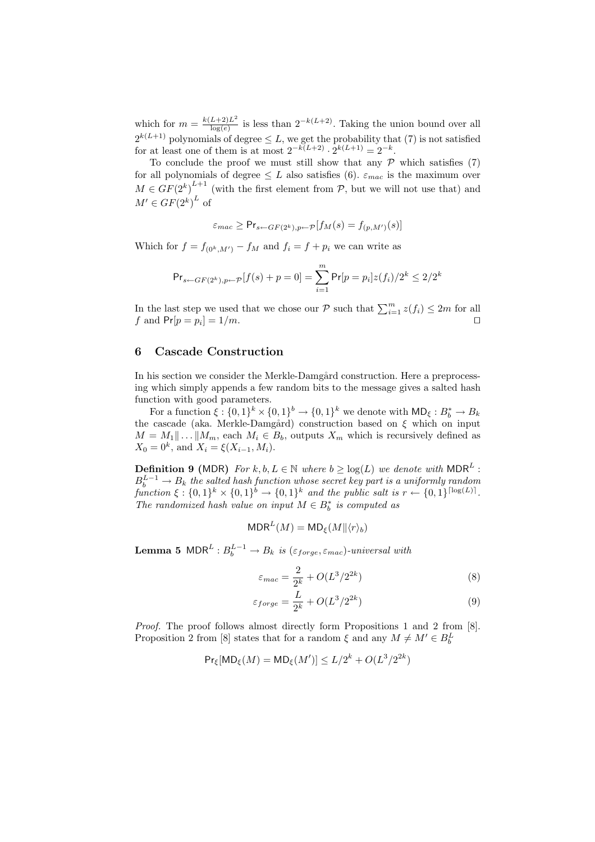which for  $m = \frac{k(L+2)L^2}{\log(e)}$  $\frac{L+2}{\log(e)}$  is less than  $2^{-k(L+2)}$ . Taking the union bound over all  $2^{k(L+1)}$  polynomials of degree  $\leq L$ , we get the probability that (7) is not satisfied for at least one of them is at most  $2^{-k(L+2)} \cdot 2^{k(L+1)} = 2^{-k}$ .

To conclude the proof we must still show that any  $P$  which satisfies (7) for all polynomials of degree  $\leq L$  also satisfies (6).  $\varepsilon_{mac}$  is the maximum over  $M \in GF(2^k)^{L+1}$  (with the first element from P, but we will not use that) and  $M' \in GF(2^k)^L$  of

$$
\varepsilon_{mac} \geq \mathsf{Pr}_{s \leftarrow GF(2^k), p \leftarrow \mathcal{P}}[f_M(s) = f_{(p,M')}(s)]
$$

Which for  $f = f_{(0^k, M')} - f_M$  and  $f_i = f + p_i$  we can write as

$$
\Pr_{s \leftarrow GF(2^k), p \leftarrow P}[f(s) + p = 0] = \sum_{i=1}^{m} \Pr[p = p_i] z(f_i) / 2^k \le 2/2^k
$$

In the last step we used that we chose our  $P$  such that  $\sum_{i=1}^{m} z(f_i) \leq 2m$  for all f and  $Pr[p = p_i] = 1/m$ .

### 6 Cascade Construction

In his section we consider the Merkle-Damgård construction. Here a preprocessing which simply appends a few random bits to the message gives a salted hash function with good parameters.

For a function  $\xi: \{0,1\}^k \times \{0,1\}^k \to \{0,1\}^k$  we denote with  $\mathsf{MD}_{\xi}: B^*_b \to B_k$ the cascade (aka. Merkle-Damgård) construction based on  $\xi$  which on input  $M = M_1 || \dots || M_m$ , each  $M_i \in B_b$ , outputs  $X_m$  which is recursively defined as  $X_0 = 0^k$ , and  $X_i = \xi(X_{i-1}, M_i)$ .

**Definition 9 (MDR)** For  $k, b, L \in \mathbb{N}$  where  $b \geq \log(L)$  we denote with MDR<sup>L</sup>:  $B^{L-1}_b \rightarrow B_k$  the salted hash function whose secret key part is a uniformly random function  $\xi : \{0,1\}^k \times \{0,1\}^b \to \{0,1\}^k$  and the public salt is  $r \leftarrow \{0,1\}^{\lceil \log(L) \rceil}$ . The randomized hash value on input  $M \in B_b^*$  is computed as

$$
\mathsf{MDR}^L(M) = \mathsf{MD}_{\xi}(M \| \langle r \rangle_b)
$$

**Lemma 5** MDR<sup>L</sup>:  $B_b^{L-1} \rightarrow B_k$  is  $(\varepsilon_{forget}, \varepsilon_{mac})$ -universal with

$$
\varepsilon_{mac} = \frac{2}{2^k} + O(L^3/2^{2k})\tag{8}
$$

$$
\varepsilon_{forge} = \frac{L}{2^k} + O(L^3/2^{2k})\tag{9}
$$

Proof. The proof follows almost directly form Propositions 1 and 2 from [8]. Proposition 2 from [8] states that for a random  $\xi$  and any  $M \neq M' \in B_b^L$ 

$$
\Pr_{\xi}[\text{MD}_{\xi}(M) = \text{MD}_{\xi}(M')] \le L/2^k + O(L^3/2^{2k})
$$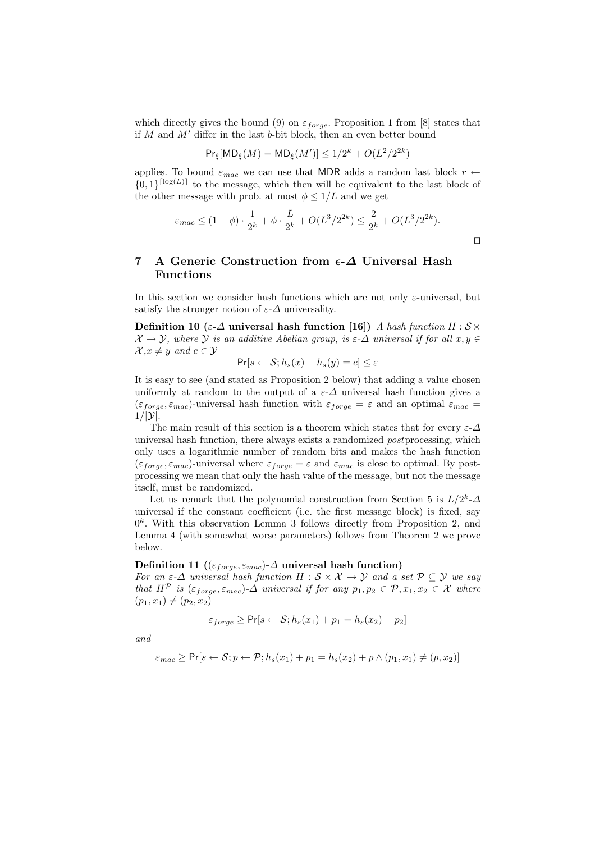which directly gives the bound (9) on  $\varepsilon_{forge}$ . Proposition 1 from [8] states that if M and  $M'$  differ in the last b-bit block, then an even better bound

$$
Pr_{\xi}[MD_{\xi}(M) = MD_{\xi}(M')] \le 1/2^{k} + O(L^{2}/2^{2k})
$$

applies. To bound  $\varepsilon_{mac}$  we can use that MDR adds a random last block  $r \leftarrow$  $\{0,1\}^{\lceil \log(L) \rceil}$  to the message, which then will be equivalent to the last block of the other message with prob. at most  $\phi \leq 1/L$  and we get

$$
\varepsilon_{mac} \le (1 - \phi) \cdot \frac{1}{2^k} + \phi \cdot \frac{L}{2^k} + O(L^3/2^{2k}) \le \frac{2}{2^k} + O(L^3/2^{2k}).
$$

# 7 A Generic Construction from  $\epsilon$ - $\Delta$  Universal Hash Functions

In this section we consider hash functions which are not only  $\varepsilon$ -universal, but satisfy the stronger notion of  $\varepsilon$ - $\Delta$  universality.

Definition 10 (ε- $\Delta$  universal hash function [16]) A hash function H :  $S \times$  $\mathcal{X} \to \mathcal{Y}$ , where  $\mathcal{Y}$  is an additive Abelian group, is  $\varepsilon$ - $\Delta$  universal if for all  $x, y \in$  $\mathcal{X}, x \neq y$  and  $c \in \mathcal{Y}$ 

$$
\Pr[s \leftarrow \mathcal{S}; h_s(x) - h_s(y) = c] \le \varepsilon
$$

It is easy to see (and stated as Proposition 2 below) that adding a value chosen uniformly at random to the output of a  $\varepsilon$ - $\Delta$  universal hash function gives a  $(\varepsilon_{forge}, \varepsilon_{mac})$ -universal hash function with  $\varepsilon_{forge} = \varepsilon$  and an optimal  $\varepsilon_{mac} =$  $1/|\mathcal{Y}|$ .

The main result of this section is a theorem which states that for every  $\varepsilon$ - $\Delta$ universal hash function, there always exists a randomized postprocessing, which only uses a logarithmic number of random bits and makes the hash function  $(\varepsilon_{forge}, \varepsilon_{mac})$ -universal where  $\varepsilon_{forge} = \varepsilon$  and  $\varepsilon_{mac}$  is close to optimal. By postprocessing we mean that only the hash value of the message, but not the message itself, must be randomized.

Let us remark that the polynomial construction from Section 5 is  $L/2^k$ - $\Delta$ universal if the constant coefficient (i.e. the first message block) is fixed, say  $0<sup>k</sup>$ . With this observation Lemma 3 follows directly from Proposition 2, and Lemma 4 (with somewhat worse parameters) follows from Theorem 2 we prove below.

### Definition 11 (( $\varepsilon_{forge}, \varepsilon_{mac}$ )- $\Delta$  universal hash function)

For an  $\varepsilon$ - $\Delta$  universal hash function  $H : \mathcal{S} \times \mathcal{X} \to \mathcal{Y}$  and a set  $\mathcal{P} \subseteq \mathcal{Y}$  we say that  $H^{\mathcal{P}}$  is  $(\varepsilon_{forge}, \varepsilon_{mac})$ - $\Delta$  universal if for any  $p_1, p_2 \in \mathcal{P}, x_1, x_2 \in \mathcal{X}$  where  $(p_1, x_1) \neq (p_2, x_2)$ 

$$
\varepsilon_{forge} \ge \Pr[s \leftarrow \mathcal{S}; h_s(x_1) + p_1 = h_s(x_2) + p_2]
$$

and

$$
\varepsilon_{mac} \geq \Pr[s \leftarrow \mathcal{S}; p \leftarrow \mathcal{P}; h_s(x_1) + p_1 = h_s(x_2) + p \wedge (p_1, x_1) \neq (p, x_2)]
$$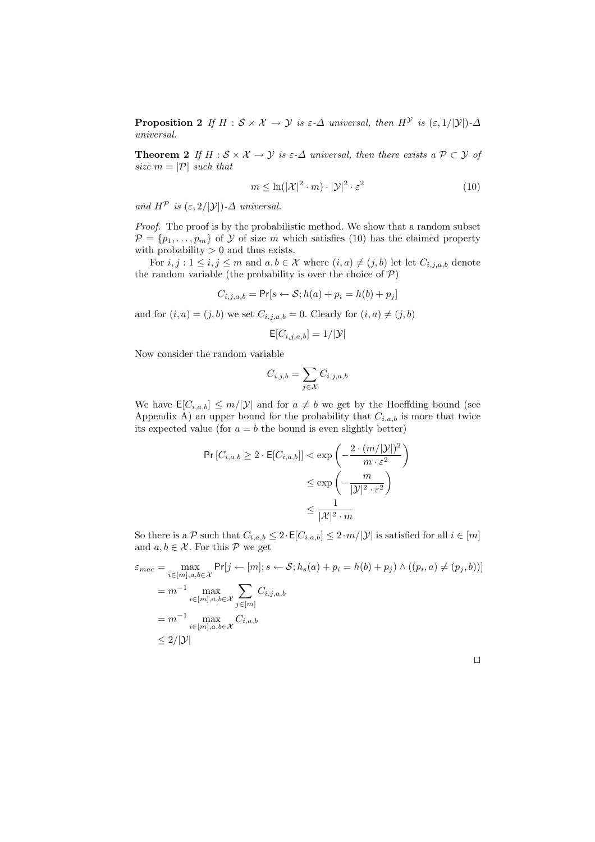**Proposition 2** If  $H : \mathcal{S} \times \mathcal{X} \to \mathcal{Y}$  is  $\varepsilon$ - $\Delta$  universal, then  $H^{\mathcal{Y}}$  is  $(\varepsilon, 1/|\mathcal{Y}|)$ - $\Delta$ universal.

**Theorem 2** If  $H : S \times X \to Y$  is  $\varepsilon$ - $\Delta$  universal, then there exists a  $P \subset Y$  of size  $m = |\mathcal{P}|$  such that

$$
m \le \ln(|\mathcal{X}|^2 \cdot m) \cdot |\mathcal{Y}|^2 \cdot \varepsilon^2 \tag{10}
$$

and  $H^{\mathcal{P}}$  is  $(\varepsilon, 2/|\mathcal{Y}|)$ - $\Delta$  universal.

Proof. The proof is by the probabilistic method. We show that a random subset  $\mathcal{P} = \{p_1, \ldots, p_m\}$  of  $\mathcal Y$  of size m which satisfies (10) has the claimed property with probability  $> 0$  and thus exists.

For  $i, j : 1 \leq i, j \leq m$  and  $a, b \in \mathcal{X}$  where  $(i, a) \neq (j, b)$  let let  $C_{i,j,a,b}$  denote the random variable (the probability is over the choice of  $P$ )

$$
C_{i,j,a,b} = \Pr[s \leftarrow \mathcal{S}; h(a) + p_i = h(b) + p_j]
$$

and for  $(i, a) = (j, b)$  we set  $C_{i,j,a,b} = 0$ . Clearly for  $(i, a) \neq (j, b)$ 

$$
\mathsf{E}[C_{i,j,a,b}] = 1/|\mathcal{Y}|
$$

Now consider the random variable

$$
C_{i,j,b} = \sum_{j \in \mathcal{X}} C_{i,j,a,b}
$$

We have  $\mathsf{E}[C_{i,a,b}] \leq m/|\mathcal{Y}|$  and for  $a \neq b$  we get by the Hoeffding bound (see Appendix A) an upper bound for the probability that  $C_{i,a,b}$  is more that twice its expected value (for  $a = b$  the bound is even slightly better)

$$
\Pr[C_{i,a,b} \ge 2 \cdot \mathsf{E}[C_{i,a,b}]] < \exp\left(-\frac{2 \cdot (m/|\mathcal{Y}|)^2}{m \cdot \varepsilon^2}\right) \\
&\le \exp\left(-\frac{m}{|\mathcal{Y}|^2 \cdot \varepsilon^2}\right) \\
&\le \frac{1}{|\mathcal{X}|^2 \cdot m}
$$

So there is a P such that  $C_{i,a,b} \leq 2 \cdot \mathsf{E}[C_{i,a,b}] \leq 2 \cdot m/|\mathcal{Y}|$  is satisfied for all  $i \in [m]$ and  $a, b \in \mathcal{X}$ . For this  $\mathcal{P}$  we get

$$
\varepsilon_{mac} = \max_{i \in [m], a, b \in \mathcal{X}} \Pr[j \leftarrow [m]; s \leftarrow \mathcal{S}; h_s(a) + p_i = h(b) + p_j) \land ((p_i, a) \neq (p_j, b))]
$$
\n
$$
= m^{-1} \max_{i \in [m], a, b \in \mathcal{X}} \sum_{j \in [m]} C_{i,j,a,b}
$$
\n
$$
= m^{-1} \max_{i \in [m], a, b \in \mathcal{X}} C_{i,a,b}
$$
\n
$$
\leq 2/|\mathcal{Y}|
$$

 $\Box$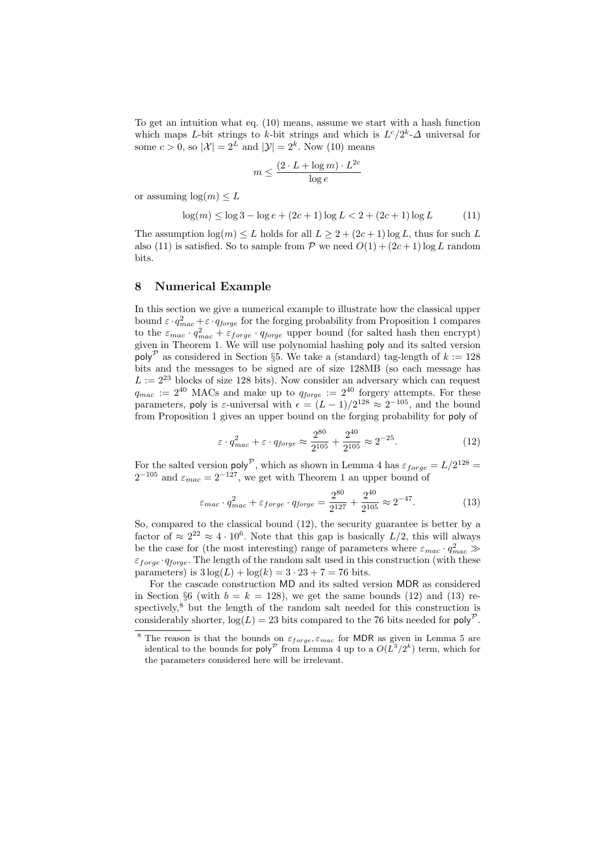To get an intuition what eq. (10) means, assume we start with a hash function which maps L-bit strings to k-bit strings and which is  $L^c/2^k$ - $\Delta$  universal for some  $c > 0$ , so  $|\mathcal{X}| = 2^L$  and  $|\mathcal{Y}| = 2^k$ . Now (10) means

$$
m \leq \frac{(2 \cdot L + \log m) \cdot L^{2c}}{\log e}
$$

or assuming  $log(m) \leq L$ 

$$
\log(m) \le \log 3 - \log e + (2c + 1)\log L < 2 + (2c + 1)\log L \tag{11}
$$

The assumption  $\log(m) \leq L$  holds for all  $L > 2 + (2c + 1) \log L$ , thus for such L also (11) is satisfied. So to sample from  $P$  we need  $O(1) + (2c + 1) \log L$  random bits.

#### 8 Numerical Example

In this section we give a numerical example to illustrate how the classical upper bound  $\varepsilon \cdot q_{mac}^2 + \varepsilon \cdot q_{torge}$  for the forging probability from Proposition 1 compares to the  $\varepsilon_{mac} \cdot q_{mac}^2 + \varepsilon_{forge} \cdot q_{forge}$  upper bound (for salted hash then encrypt) given in Theorem 1. We will use polynomial hashing poly and its salted version poly<sup>P</sup> as considered in Section §5. We take a (standard) tag-length of  $k := 128$ bits and the messages to be signed are of size 128MB (so each message has  $L := 2^{23}$  blocks of size 128 bits). Now consider an adversary which can request  $q_{mac} := 2^{40}$  MACs and make up to  $q_{forge} := 2^{40}$  forgery attempts. For these parameters, poly is  $\varepsilon$ -universal with  $\epsilon = (L-1)/2^{128} \approx 2^{-105}$ , and the bound from Proposition 1 gives an upper bound on the forging probability for poly of

$$
\varepsilon \cdot q_{mac}^2 + \varepsilon \cdot q_{forge} \approx \frac{2^{80}}{2^{105}} + \frac{2^{40}}{2^{105}} \approx 2^{-25}.
$$
 (12)

For the salted version poly<sup>P</sup>, which as shown in Lemma 4 has  $\varepsilon_{forge} = L/2^{128} =$  $2^{-105}$  and  $\varepsilon_{mac} = 2^{-127}$ , we get with Theorem 1 an upper bound of

$$
\varepsilon_{mac} \cdot q_{mac}^2 + \varepsilon_{forge} \cdot q_{forge} = \frac{2^{80}}{2^{127}} + \frac{2^{40}}{2^{105}} \approx 2^{-47}.
$$
 (13)

So, compared to the classical bound (12), the security guarantee is better by a factor of  $\approx 2^{22} \approx 4 \cdot 10^6$ . Note that this gap is basically  $L/2$ , this will always be the case for (the most interesting) range of parameters where  $\varepsilon_{mac} \cdot q_{mac}^2 \gg$  $\varepsilon_{force} \cdot q_{force}$ . The length of the random salt used in this construction (with these parameters) is  $3 \log(L) + \log(k) = 3 \cdot 23 + 7 = 76$  bits.

For the cascade construction MD and its salted version MDR as considered in Section §6 (with  $b = k = 128$ ), we get the same bounds (12) and (13) respectively, $8$  but the length of the random salt needed for this construction is considerably shorter,  $log(L) = 23$  bits compared to the 76 bits needed for poly<sup>P</sup>.

<sup>&</sup>lt;sup>8</sup> The reason is that the bounds on  $\varepsilon_{\text{forget}} \varepsilon_{\text{mac}}$  for MDR as given in Lemma 5 are identical to the bounds for poly<sup> $\mathcal P$ </sup> from Lemma 4 up to a  $O(L^3/2^k)$  term, which for the parameters considered here will be irrelevant.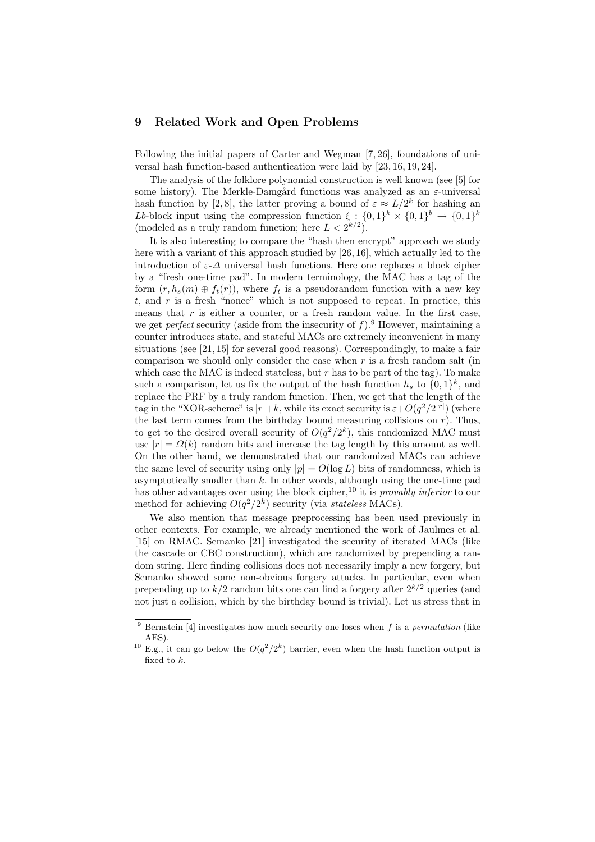### 9 Related Work and Open Problems

Following the initial papers of Carter and Wegman [7, 26], foundations of universal hash function-based authentication were laid by [23, 16, 19, 24].

The analysis of the folklore polynomial construction is well known (see [5] for some history). The Merkle-Damgård functions was analyzed as an  $\varepsilon$ -universal hash function by [2,8], the latter proving a bound of  $\varepsilon \approx L/2^k$  for hashing an *Lb*-block input using the compression function  $\xi : \{0,1\}^k \times \{0,1\}^k \to \{0,1\}^k$ (modeled as a truly random function; here  $L < 2^{k/2}$ ).

It is also interesting to compare the "hash then encrypt" approach we study here with a variant of this approach studied by [26, 16], which actually led to the introduction of  $\varepsilon$ - $\Delta$  universal hash functions. Here one replaces a block cipher by a "fresh one-time pad". In modern terminology, the MAC has a tag of the form  $(r, h_s(m) \oplus f_t(r))$ , where  $f_t$  is a pseudorandom function with a new key  $t$ , and  $r$  is a fresh "nonce" which is not supposed to repeat. In practice, this means that  $r$  is either a counter, or a fresh random value. In the first case, we get *perfect* security (aside from the insecurity of  $f$ ).<sup>9</sup> However, maintaining a counter introduces state, and stateful MACs are extremely inconvenient in many situations (see [21, 15] for several good reasons). Correspondingly, to make a fair comparison we should only consider the case when  $r$  is a fresh random salt (in which case the MAC is indeed stateless, but  $r$  has to be part of the tag). To make such a comparison, let us fix the output of the hash function  $h_s$  to  $\{0,1\}^k$ , and replace the PRF by a truly random function. Then, we get that the length of the tag in the "XOR-scheme" is  $|r|+k$ , while its exact security is  $\varepsilon+O(q^2/2^{|r|})$  (where the last term comes from the birthday bound measuring collisions on  $r$ ). Thus, to get to the desired overall security of  $O(q^2/2^k)$ , this randomized MAC must use  $|r| = \Omega(k)$  random bits and increase the tag length by this amount as well. On the other hand, we demonstrated that our randomized MACs can achieve the same level of security using only  $|p| = O(\log L)$  bits of randomness, which is asymptotically smaller than  $k$ . In other words, although using the one-time pad has other advantages over using the block cipher,<sup>10</sup> it is *provably inferior* to our method for achieving  $O(q^2/2^k)$  security (via stateless MACs).

We also mention that message preprocessing has been used previously in other contexts. For example, we already mentioned the work of Jaulmes et al. [15] on RMAC. Semanko [21] investigated the security of iterated MACs (like the cascade or CBC construction), which are randomized by prepending a random string. Here finding collisions does not necessarily imply a new forgery, but Semanko showed some non-obvious forgery attacks. In particular, even when prepending up to  $k/2$  random bits one can find a forgery after  $2^{k/2}$  queries (and not just a collision, which by the birthday bound is trivial). Let us stress that in

 $9$  Bernstein [4] investigates how much security one loses when f is a permutation (like AES).

<sup>&</sup>lt;sup>10</sup> E.g., it can go below the  $O(q^2/2^k)$  barrier, even when the hash function output is fixed to k.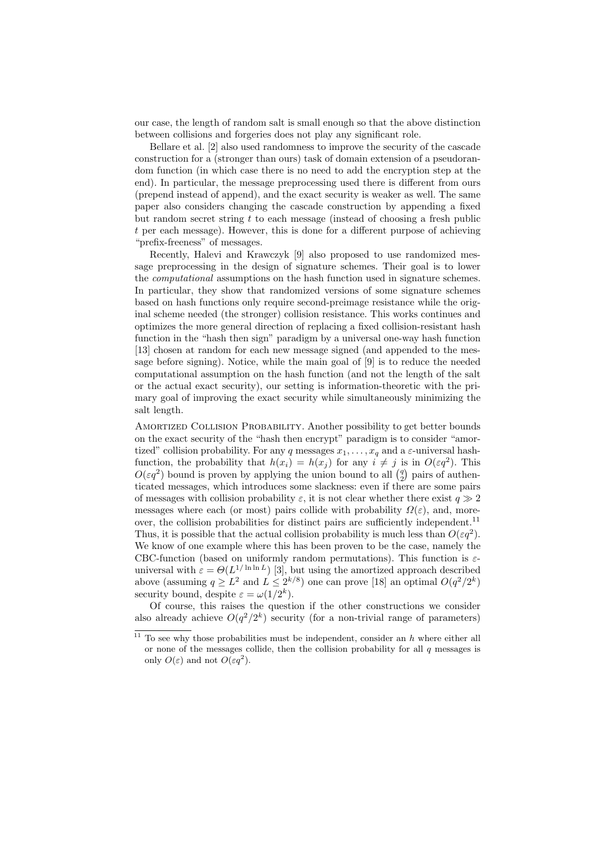our case, the length of random salt is small enough so that the above distinction between collisions and forgeries does not play any significant role.

Bellare et al. [2] also used randomness to improve the security of the cascade construction for a (stronger than ours) task of domain extension of a pseudorandom function (in which case there is no need to add the encryption step at the end). In particular, the message preprocessing used there is different from ours (prepend instead of append), and the exact security is weaker as well. The same paper also considers changing the cascade construction by appending a fixed but random secret string  $t$  to each message (instead of choosing a fresh public t per each message). However, this is done for a different purpose of achieving "prefix-freeness" of messages.

Recently, Halevi and Krawczyk [9] also proposed to use randomized message preprocessing in the design of signature schemes. Their goal is to lower the computational assumptions on the hash function used in signature schemes. In particular, they show that randomized versions of some signature schemes based on hash functions only require second-preimage resistance while the original scheme needed (the stronger) collision resistance. This works continues and optimizes the more general direction of replacing a fixed collision-resistant hash function in the "hash then sign" paradigm by a universal one-way hash function [13] chosen at random for each new message signed (and appended to the message before signing). Notice, while the main goal of [9] is to reduce the needed computational assumption on the hash function (and not the length of the salt or the actual exact security), our setting is information-theoretic with the primary goal of improving the exact security while simultaneously minimizing the salt length.

AMORTIZED COLLISION PROBABILITY. Another possibility to get better bounds on the exact security of the "hash then encrypt" paradigm is to consider "amortized" collision probability. For any q messages  $x_1, \ldots, x_q$  and a  $\varepsilon$ -universal hashfunction, the probability that  $h(x_i) = h(x_j)$  for any  $i \neq j$  is in  $O(\varepsilon q^2)$ . This function, the probability that  $h(x_i) = h(x_j)$  for any  $i \neq j$  is in  $O(\varepsilon q^2)$ . This  $O(\varepsilon q^2)$  bound is proven by applying the union bound to all  $\binom{q}{2}$  pairs of authenticated messages, which introduces some slackness: even if there are some pairs of messages with collision probability  $\varepsilon$ , it is not clear whether there exist  $q \gg 2$ messages where each (or most) pairs collide with probability  $\Omega(\varepsilon)$ , and, moreover, the collision probabilities for distinct pairs are sufficiently independent.<sup>11</sup> Thus, it is possible that the actual collision probability is much less than  $O(\varepsilon q^2)$ . We know of one example where this has been proven to be the case, namely the CBC-function (based on uniformly random permutations). This function is  $\varepsilon$ universal with  $\varepsilon = \Theta(L^{1/\ln \ln L})$  [3], but using the amortized approach described above (assuming  $q \ge L^2$  and  $L \le 2^{k/8}$ ) one can prove [18] an optimal  $O(q^2/2^k)$ security bound, despite  $\varepsilon = \omega(1/2^k)$ .

Of course, this raises the question if the other constructions we consider also already achieve  $O(q^2/2^k)$  security (for a non-trivial range of parameters)

 $11$  To see why those probabilities must be independent, consider an h where either all or none of the messages collide, then the collision probability for all  $q$  messages is only  $O(\varepsilon)$  and not  $O(\varepsilon q^2)$ .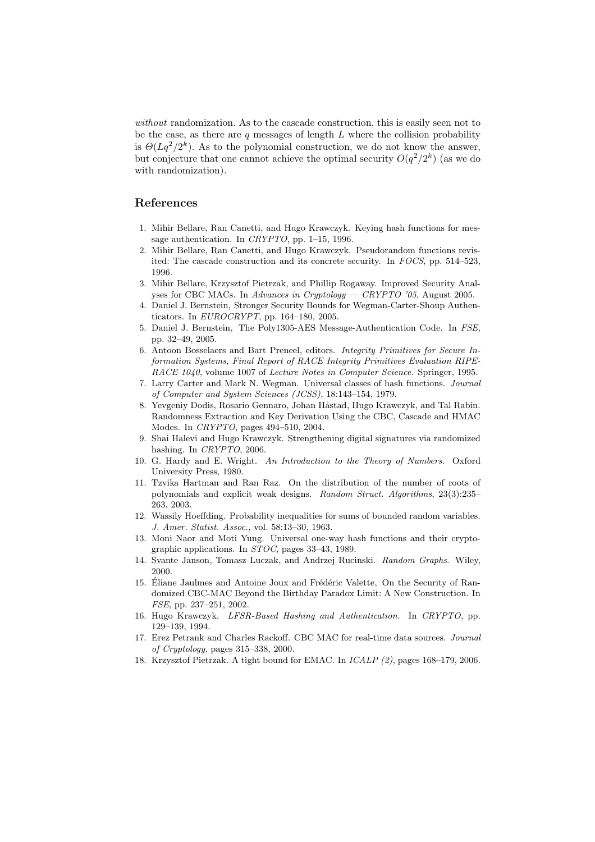without randomization. As to the cascade construction, this is easily seen not to be the case, as there are q messages of length  $L$  where the collision probability is  $\Theta(Lq^2/2^k)$ . As to the polynomial construction, we do not know the answer, but conjecture that one cannot achieve the optimal security  $O(q^2/2^k)$  (as we do with randomization).

## References

- 1. Mihir Bellare, Ran Canetti, and Hugo Krawczyk. Keying hash functions for message authentication. In CRYPTO, pp. 1–15, 1996.
- 2. Mihir Bellare, Ran Canetti, and Hugo Krawczyk. Pseudorandom functions revisited: The cascade construction and its concrete security. In FOCS, pp. 514–523, 1996.
- 3. Mihir Bellare, Krzysztof Pietrzak, and Phillip Rogaway. Improved Security Analyses for CBC MACs. In Advances in Cryptology — CRYPTO '05, August 2005.
- 4. Daniel J. Bernstein, Stronger Security Bounds for Wegman-Carter-Shoup Authenticators. In  $EUROCRYPT$ , pp. 164–180, 2005.
- 5. Daniel J. Bernstein, The Poly1305-AES Message-Authentication Code. In FSE, pp. 32–49, 2005.
- 6. Antoon Bosselaers and Bart Preneel, editors. Integrity Primitives for Secure Information Systems, Final Report of RACE Integrity Primitives Evaluation RIPE-RACE 1040, volume 1007 of Lecture Notes in Computer Science. Springer, 1995.
- 7. Larry Carter and Mark N. Wegman. Universal classes of hash functions. Journal of Computer and System Sciences (JCSS), 18:143–154, 1979.
- 8. Yevgeniy Dodis, Rosario Gennaro, Johan Håstad, Hugo Krawczyk, and Tal Rabin. Randomness Extraction and Key Derivation Using the CBC, Cascade and HMAC Modes. In CRYPTO, pages 494–510, 2004.
- 9. Shai Halevi and Hugo Krawczyk. Strengthening digital signatures via randomized hashing. In CRYPTO, 2006.
- 10. G. Hardy and E. Wright. An Introduction to the Theory of Numbers. Oxford University Press, 1980.
- 11. Tzvika Hartman and Ran Raz. On the distribution of the number of roots of polynomials and explicit weak designs. Random Struct. Algorithms, 23(3):235– 263, 2003.
- 12. Wassily Hoeffding. Probability inequalities for sums of bounded random variables. J. Amer. Statist. Assoc., vol. 58:13–30, 1963.
- 13. Moni Naor and Moti Yung. Universal one-way hash functions and their cryptographic applications. In STOC, pages 33–43, 1989.
- 14. Svante Janson, Tomasz Luczak, and Andrzej Rucinski. Random Graphs. Wiley, 2000.
- 15. Éliane Jaulmes and Antoine Joux and Frédéric Valette, On the Security of Randomized CBC-MAC Beyond the Birthday Paradox Limit: A New Construction. In FSE, pp. 237–251, 2002.
- 16. Hugo Krawczyk. LFSR-Based Hashing and Authentication. In CRYPTO, pp. 129–139, 1994.
- 17. Erez Petrank and Charles Rackoff. CBC MAC for real-time data sources. Journal of Cryptology, pages 315–338, 2000.
- 18. Krzysztof Pietrzak. A tight bound for EMAC. In ICALP (2), pages 168–179, 2006.